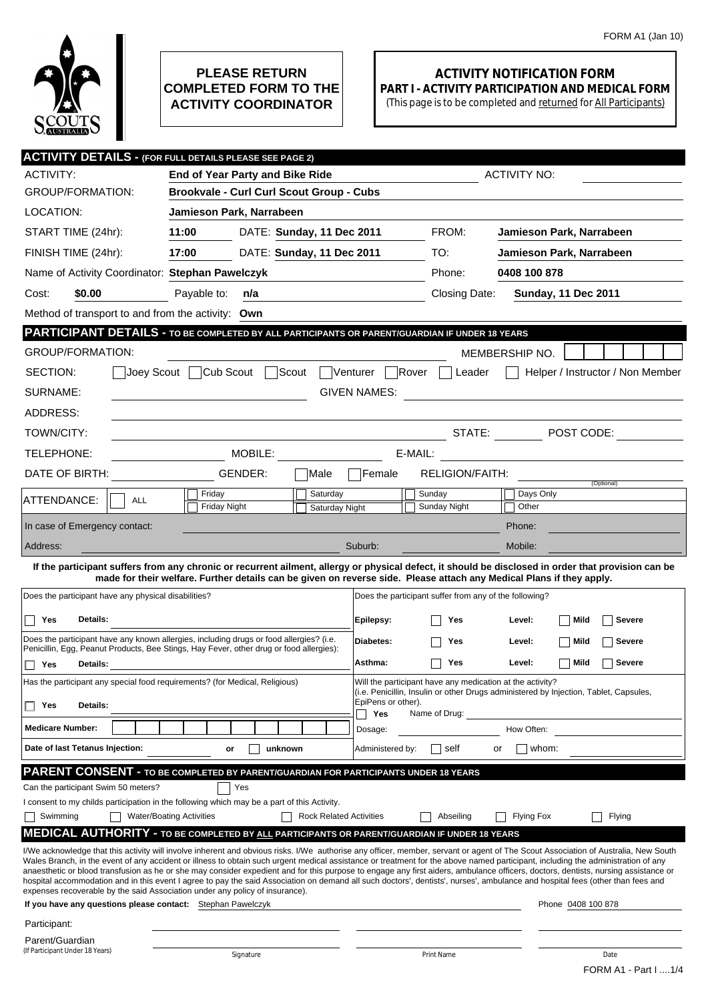

## **PLEASE RETURN COMPLETED FORM TO THE ACTIVITY COORDINATOR**

## **ACTIVITY NOTIFICATION FORM PART I - ACTIVITY PARTICIPATION AND MEDICAL FORM**

(This page is to be completed and returned for All Participants)

| <b>ACTIVITY DETAILS - (FOR FULL DETAILS PLEASE SEE PAGE 2)</b>                                                                                                                                                                                                                                                                                                         |                                                                                                                                                                                                                                                                             |                                |                           |                                                        |                          |                            |  |
|------------------------------------------------------------------------------------------------------------------------------------------------------------------------------------------------------------------------------------------------------------------------------------------------------------------------------------------------------------------------|-----------------------------------------------------------------------------------------------------------------------------------------------------------------------------------------------------------------------------------------------------------------------------|--------------------------------|---------------------------|--------------------------------------------------------|--------------------------|----------------------------|--|
| <b>ACTIVITY:</b>                                                                                                                                                                                                                                                                                                                                                       | End of Year Party and Bike Ride                                                                                                                                                                                                                                             |                                | <b>ACTIVITY NO:</b>       |                                                        |                          |                            |  |
| <b>GROUP/FORMATION:</b>                                                                                                                                                                                                                                                                                                                                                | <b>Brookvale - Curl Curl Scout Group - Cubs</b>                                                                                                                                                                                                                             |                                |                           |                                                        |                          |                            |  |
| LOCATION:                                                                                                                                                                                                                                                                                                                                                              | Jamieson Park, Narrabeen                                                                                                                                                                                                                                                    |                                |                           |                                                        |                          |                            |  |
| START TIME (24hr):                                                                                                                                                                                                                                                                                                                                                     | 11:00                                                                                                                                                                                                                                                                       | DATE: Sunday, 11 Dec 2011      |                           | FROM:                                                  | Jamieson Park, Narrabeen |                            |  |
| FINISH TIME (24hr):                                                                                                                                                                                                                                                                                                                                                    | 17:00                                                                                                                                                                                                                                                                       | DATE: Sunday, 11 Dec 2011      |                           | TO:                                                    | Jamieson Park, Narrabeen |                            |  |
| Name of Activity Coordinator: Stephan Pawelczyk                                                                                                                                                                                                                                                                                                                        |                                                                                                                                                                                                                                                                             |                                |                           | Phone:                                                 | 0408 100 878             |                            |  |
| Cost:<br>\$0.00                                                                                                                                                                                                                                                                                                                                                        | Payable to:<br>n/a                                                                                                                                                                                                                                                          |                                |                           | Closing Date:                                          |                          | <b>Sunday, 11 Dec 2011</b> |  |
| Method of transport to and from the activity: Own                                                                                                                                                                                                                                                                                                                      |                                                                                                                                                                                                                                                                             |                                |                           |                                                        |                          |                            |  |
| PARTICIPANT DETAILS - TO BE COMPLETED BY ALL PARTICIPANTS OR PARENT/GUARDIAN IF UNDER 18 YEARS                                                                                                                                                                                                                                                                         |                                                                                                                                                                                                                                                                             |                                |                           |                                                        |                          |                            |  |
| <b>GROUP/FORMATION:</b>                                                                                                                                                                                                                                                                                                                                                |                                                                                                                                                                                                                                                                             |                                |                           |                                                        | MEMBERSHIP NO.           |                            |  |
| Cub Scout<br>Scout<br>SECTION:<br>Joey Scout<br>$ V$ enturer $ $<br>Rover<br>Helper / Instructor / Non Member<br>Leader                                                                                                                                                                                                                                                |                                                                                                                                                                                                                                                                             |                                |                           |                                                        |                          |                            |  |
| SURNAME:<br><b>GIVEN NAMES:</b><br><u> 1989 - Andrea Aonaichte, ann an t-Èireann an t-Èireann an t-Èireann an t-Èireann an t-Èireann an t-Èireann an </u>                                                                                                                                                                                                              |                                                                                                                                                                                                                                                                             |                                |                           |                                                        |                          |                            |  |
| ADDRESS:                                                                                                                                                                                                                                                                                                                                                               |                                                                                                                                                                                                                                                                             |                                |                           |                                                        |                          |                            |  |
| TOWN/CITY:                                                                                                                                                                                                                                                                                                                                                             |                                                                                                                                                                                                                                                                             |                                |                           |                                                        |                          |                            |  |
| TELEPHONE:                                                                                                                                                                                                                                                                                                                                                             | MOBILE: WORK                                                                                                                                                                                                                                                                |                                | E-MAIL:                   |                                                        |                          |                            |  |
| DATE OF BIRTH:                                                                                                                                                                                                                                                                                                                                                         | GENDER:                                                                                                                                                                                                                                                                     | Male                           | <b>Female</b>             | RELIGION/FAITH:                                        |                          |                            |  |
| ATTENDANCE:<br><b>ALL</b>                                                                                                                                                                                                                                                                                                                                              | Friday                                                                                                                                                                                                                                                                      | Saturday                       |                           | Sunday                                                 | Days Only                | (Optional)                 |  |
|                                                                                                                                                                                                                                                                                                                                                                        | <b>Friday Night</b>                                                                                                                                                                                                                                                         | Saturday Night                 |                           | Sunday Night                                           | Other                    |                            |  |
| In case of Emergency contact:                                                                                                                                                                                                                                                                                                                                          |                                                                                                                                                                                                                                                                             |                                |                           |                                                        | Phone:                   |                            |  |
| Address:                                                                                                                                                                                                                                                                                                                                                               |                                                                                                                                                                                                                                                                             |                                | Suburb:                   |                                                        | Mobile:                  |                            |  |
|                                                                                                                                                                                                                                                                                                                                                                        | If the participant suffers from any chronic or recurrent ailment, allergy or physical defect, it should be disclosed in order that provision can be<br>made for their welfare. Further details can be given on reverse side. Please attach any Medical Plans if they apply. |                                |                           |                                                        |                          |                            |  |
| Does the participant have any physical disabilities?                                                                                                                                                                                                                                                                                                                   |                                                                                                                                                                                                                                                                             |                                |                           | Does the participant suffer from any of the following? |                          |                            |  |
| Details:<br>Yes                                                                                                                                                                                                                                                                                                                                                        |                                                                                                                                                                                                                                                                             |                                | Epilepsy:                 | Yes                                                    | Level:                   | Mild<br>Severe             |  |
| Does the participant have any known allergies, including drugs or food allergies? (i.e.                                                                                                                                                                                                                                                                                |                                                                                                                                                                                                                                                                             |                                |                           |                                                        |                          |                            |  |
| Penicillin, Egg, Peanut Products, Bee Stings, Hay Fever, other drug or food allergies):                                                                                                                                                                                                                                                                                |                                                                                                                                                                                                                                                                             | Diabetes:                      | Yes                       | Level:                                                 | Mild<br><b>Severe</b>    |                            |  |
| Yes<br>П<br>Details:                                                                                                                                                                                                                                                                                                                                                   | Asthma:                                                                                                                                                                                                                                                                     | Yes                            | Level:                    | Mild<br><b>Severe</b>                                  |                          |                            |  |
| Will the participant have any medication at the activity?<br>Has the participant any special food requirements? (for Medical, Religious)<br>(i.e. Penicillin, Insulin or other Drugs administered by Injection, Tablet, Capsules,                                                                                                                                      |                                                                                                                                                                                                                                                                             |                                |                           |                                                        |                          |                            |  |
| Details:<br>Yes<br>ΙI                                                                                                                                                                                                                                                                                                                                                  |                                                                                                                                                                                                                                                                             |                                | EpiPens or other).<br>Yes | Name of Drug:                                          |                          |                            |  |
| <b>Medicare Number:</b>                                                                                                                                                                                                                                                                                                                                                |                                                                                                                                                                                                                                                                             |                                | Dosage:                   |                                                        | How Often:               |                            |  |
| Date of last Tetanus Injection:                                                                                                                                                                                                                                                                                                                                        | unknown<br>or                                                                                                                                                                                                                                                               |                                | Administered by:          | self                                                   | whom:<br>or              |                            |  |
| <b>PARENT CONSENT - TO BE COMPLETED BY PARENT/GUARDIAN FOR PARTICIPANTS UNDER 18 YEARS</b>                                                                                                                                                                                                                                                                             |                                                                                                                                                                                                                                                                             |                                |                           |                                                        |                          |                            |  |
| Can the participant Swim 50 meters?                                                                                                                                                                                                                                                                                                                                    | Yes                                                                                                                                                                                                                                                                         |                                |                           |                                                        |                          |                            |  |
| I consent to my childs participation in the following which may be a part of this Activity.                                                                                                                                                                                                                                                                            |                                                                                                                                                                                                                                                                             |                                |                           |                                                        |                          |                            |  |
| Swimming                                                                                                                                                                                                                                                                                                                                                               | <b>Water/Boating Activities</b>                                                                                                                                                                                                                                             | <b>Rock Related Activities</b> |                           | Abseiling                                              | Flying Fox               | Flying                     |  |
| <b>MEDICAL AUTHORITY - TO BE COMPLETED BY ALL PARTICIPANTS OR PARENT/GUARDIAN IF UNDER 18 YEARS</b>                                                                                                                                                                                                                                                                    |                                                                                                                                                                                                                                                                             |                                |                           |                                                        |                          |                            |  |
| I/We acknowledge that this activity will involve inherent and obvious risks. I/We authorise any officer, member, servant or agent of The Scout Association of Australia, New South<br>Wales Branch, in the event of any accident or illness to obtain such urgent medical assistance or treatment for the above named participant, including the administration of any |                                                                                                                                                                                                                                                                             |                                |                           |                                                        |                          |                            |  |
| anaesthetic or blood transfusion as he or she may consider expedient and for this purpose to engage any first aiders, ambulance officers, doctors, dentists, nursing assistance or<br>hospital accommodation and in this event I agree to pay the said Association on demand all such doctors', dentists', nurses', ambulance and hospital fees (other than fees and   |                                                                                                                                                                                                                                                                             |                                |                           |                                                        |                          |                            |  |
| expenses recoverable by the said Association under any policy of insurance).                                                                                                                                                                                                                                                                                           |                                                                                                                                                                                                                                                                             |                                |                           |                                                        |                          |                            |  |
| If you have any questions please contact: Stephan Pawelczyk                                                                                                                                                                                                                                                                                                            |                                                                                                                                                                                                                                                                             |                                |                           |                                                        |                          | Phone 0408 100 878         |  |
| Participant:<br>Parent/Guardian                                                                                                                                                                                                                                                                                                                                        |                                                                                                                                                                                                                                                                             |                                |                           |                                                        |                          |                            |  |
| (If Participant Under 18 Years)                                                                                                                                                                                                                                                                                                                                        | Signature                                                                                                                                                                                                                                                                   |                                |                           | Print Name                                             |                          | Date                       |  |
|                                                                                                                                                                                                                                                                                                                                                                        |                                                                                                                                                                                                                                                                             |                                |                           |                                                        |                          | FORM A1 - Part I 1/4       |  |